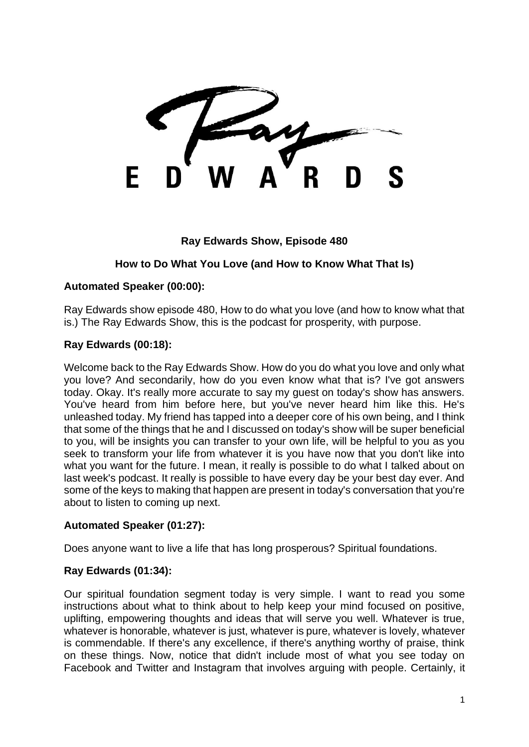#### **Ray Edwards Show, Episode 480**

### **How to Do What You Love (and How to Know What That Is)**

#### **Automated Speaker (00:00):**

Ray Edwards show episode 480, How to do what you love (and how to know what that is.) The Ray Edwards Show, this is the podcast for prosperity, with purpose.

#### **Ray Edwards (00:18):**

Welcome back to the Ray Edwards Show. How do you do what you love and only what you love? And secondarily, how do you even know what that is? I've got answers today. Okay. It's really more accurate to say my guest on today's show has answers. You've heard from him before here, but you've never heard him like this. He's unleashed today. My friend has tapped into a deeper core of his own being, and I think that some of the things that he and I discussed on today's show will be super beneficial to you, will be insights you can transfer to your own life, will be helpful to you as you seek to transform your life from whatever it is you have now that you don't like into what you want for the future. I mean, it really is possible to do what I talked about on last week's podcast. It really is possible to have every day be your best day ever. And some of the keys to making that happen are present in today's conversation that you're about to listen to coming up next.

#### **Automated Speaker (01:27):**

Does anyone want to live a life that has long prosperous? Spiritual foundations.

#### **Ray Edwards [\(01:3](https://www.temi.com/editor/t/jSPnRbMJcbcWU-20nGp5jcNFTxdJGeHiXv_tRiJGQ6C6oGw0N9j8DyqBuzUhQx92Jy7dCFcpzbQEaT06JHDuSrUqvFI?loadFrom=DocumentDeeplink&ts=187.78)4):**

Our spiritual foundation segment today is very simple. I want to read you some instructions about what to think about to help keep your mind focused on positive, uplifting, empowering thoughts and ideas that will serve you well. Whatever is true, whatever is honorable, whatever is just, whatever is pure, whatever is lovely, whatever is commendable. If there's any excellence, if there's anything worthy of praise, think on these things. Now, notice that didn't include most of what you see today on Facebook and Twitter and Instagram that involves arguing with people. Certainly, it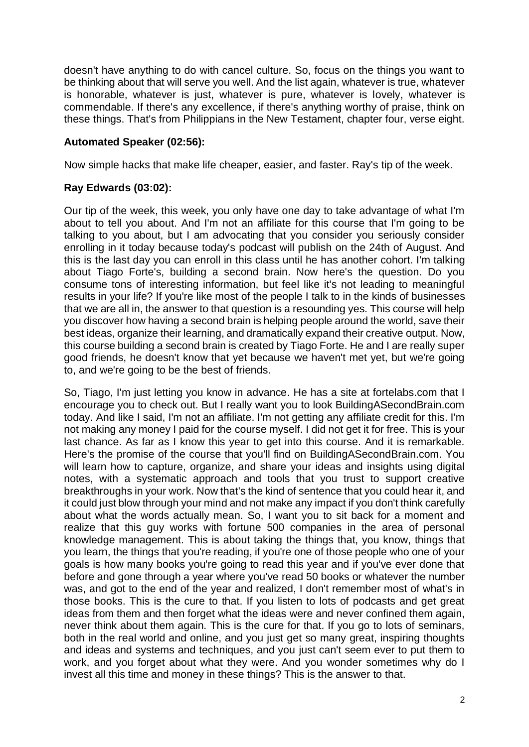doesn't have anything to do with cancel culture. So, focus on the things you want to be thinking about that will serve you well. And the list again, whatever is true, whatever is honorable, whatever is just, whatever is pure, whatever is lovely, whatever is commendable. If there's any excellence, if there's anything worthy of praise, think on these things. That's from Philippians in the New Testament, chapter four, verse eight.

### **Automated Speaker (02:56):**

Now simple hacks that make life cheaper, easier, and faster. Ray's tip of the week.

### **Ray Edwards (03:02):**

Our tip of the week, this week, you only have one day to take advantage of what I'm about to tell you about. And I'm not an affiliate for this course that I'm going to be talking to you about, but I am advocating that you consider you seriously consider enrolling in it today because today's podcast will publish on the 24th of August. And this is the last day you can enroll in this class until he has another cohort. I'm talking about Tiago Forte's, building a second brain. Now here's the question. Do you consume tons of interesting information, but feel like it's not leading to meaningful results in your life? If you're like most of the people I talk to in the kinds of businesses that we are all in, the answer to that question is a resounding yes. This course will help you discover how having a second brain is helping people around the world, save their best ideas, organize their learning, and dramatically expand their creative output. Now, this course building a second brain is created by Tiago Forte. He and I are really super good friends, he doesn't know that yet because we haven't met yet, but we're going to, and we're going to be the best of friends.

So, Tiago, I'm just letting you know in advance. He has a site at fortelabs.com that I encourage you to check out. But I really want you to look BuildingASecondBrain.com today. And like I said, I'm not an affiliate. I'm not getting any affiliate credit for this. I'm not making any money I paid for the course myself. I did not get it for free. This is your last chance. As far as I know this year to get into this course. And it is remarkable. Here's the promise of the course that you'll find on BuildingASecondBrain.com. You will learn how to capture, organize, and share your ideas and insights using digital notes, with a systematic approach and tools that you trust to support creative breakthroughs in your work. Now that's the kind of sentence that you could hear it, and it could just blow through your mind and not make any impact if you don't think carefully about what the words actually mean. So, I want you to sit back for a moment and realize that this guy works with fortune 500 companies in the area of personal knowledge management. This is about taking the things that, you know, things that you learn, the things that you're reading, if you're one of those people who one of your goals is how many books you're going to read this year and if you've ever done that before and gone through a year where you've read 50 books or whatever the number was, and got to the end of the year and realized, I don't remember most of what's in those books. This is the cure to that. If you listen to lots of podcasts and get great ideas from them and then forget what the ideas were and never confined them again, never think about them again. This is the cure for that. If you go to lots of seminars, both in the real world and online, and you just get so many great, inspiring thoughts and ideas and systems and techniques, and you just can't seem ever to put them to work, and you forget about what they were. And you wonder sometimes why do I invest all this time and money in these things? This is the answer to that.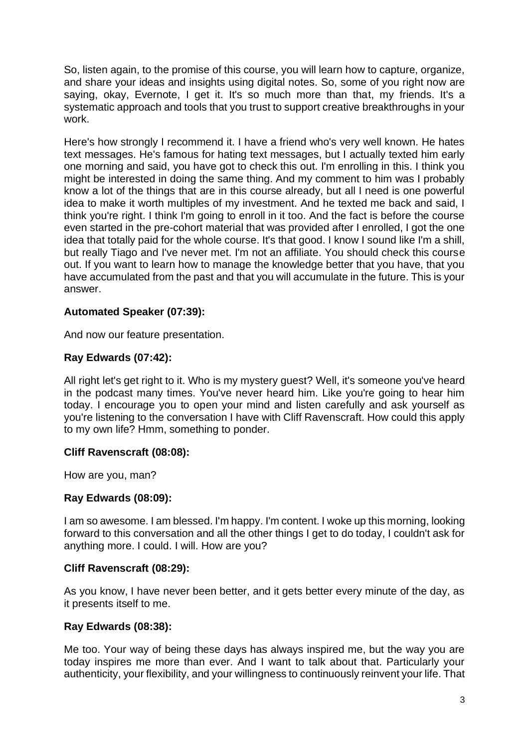So, listen again, to the promise of this course, you will learn how to capture, organize, and share your ideas and insights using digital notes. So, some of you right now are saying, okay, Evernote, I get it. It's so much more than that, my friends. It's a systematic approach and tools that you trust to support creative breakthroughs in your work.

Here's how strongly I recommend it. I have a friend who's very well known. He hates text messages. He's famous for hating text messages, but I actually texted him early one morning and said, you have got to check this out. I'm enrolling in this. I think you might be interested in doing the same thing. And my comment to him was I probably know a lot of the things that are in this course already, but all I need is one powerful idea to make it worth multiples of my investment. And he texted me back and said, I think you're right. I think I'm going to enroll in it too. And the fact is before the course even started in the pre-cohort material that was provided after I enrolled, I got the one idea that totally paid for the whole course. It's that good. I know I sound like I'm a shill, but really Tiago and I've never met. I'm not an affiliate. You should check this course out. If you want to learn how to manage the knowledge better that you have, that you have accumulated from the past and that you will accumulate in the future. This is your answer.

### **Automated Speaker (07:39):**

And now our feature presentation.

### **Ray Edwards (07:42):**

All right let's get right to it. Who is my mystery guest? Well, it's someone you've heard in the podcast many times. You've never heard him. Like you're going to hear him today. I encourage you to open your mind and listen carefully and ask yourself as you're listening to the conversation I have with Cliff Ravenscraft. How could this apply to my own life? Hmm, something to ponder.

#### **Cliff Ravenscraft (08:08):**

How are you, man?

#### **Ray Edwards (08:09):**

I am so awesome. I am blessed. I'm happy. I'm content. I woke up this morning, looking forward to this conversation and all the other things I get to do today, I couldn't ask for anything more. I could. I will. How are you?

#### **Cliff Ravenscraft (08:29):**

As you know, I have never been better, and it gets better every minute of the day, as it presents itself to me.

### **Ray Edwards (08:38):**

Me too. Your way of being these days has always inspired me, but the way you are today inspires me more than ever. And I want to talk about that. Particularly your authenticity, your flexibility, and your willingness to continuously reinvent your life. That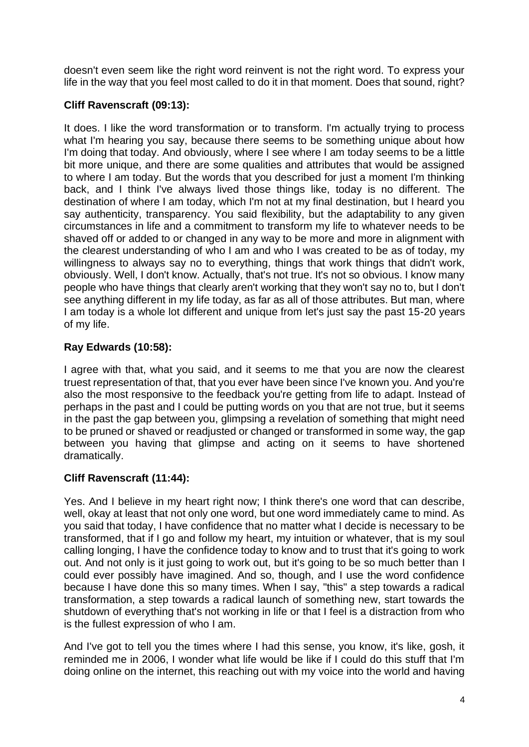doesn't even seem like the right word reinvent is not the right word. To express your life in the way that you feel most called to do it in that moment. Does that sound, right?

# **Cliff Ravenscraft (09:13):**

It does. I like the word transformation or to transform. I'm actually trying to process what I'm hearing you say, because there seems to be something unique about how I'm doing that today. And obviously, where I see where I am today seems to be a little bit more unique, and there are some qualities and attributes that would be assigned to where I am today. But the words that you described for just a moment I'm thinking back, and I think I've always lived those things like, today is no different. The destination of where I am today, which I'm not at my final destination, but I heard you say authenticity, transparency. You said flexibility, but the adaptability to any given circumstances in life and a commitment to transform my life to whatever needs to be shaved off or added to or changed in any way to be more and more in alignment with the clearest understanding of who I am and who I was created to be as of today, my willingness to always say no to everything, things that work things that didn't work, obviously. Well, I don't know. Actually, that's not true. It's not so obvious. I know many people who have things that clearly aren't working that they won't say no to, but I don't see anything different in my life today, as far as all of those attributes. But man, where I am today is a whole lot different and unique from let's just say the past 15-20 years of my life.

# **Ray Edwards (10:58):**

I agree with that, what you said, and it seems to me that you are now the clearest truest representation of that, that you ever have been since I've known you. And you're also the most responsive to the feedback you're getting from life to adapt. Instead of perhaps in the past and I could be putting words on you that are not true, but it seems in the past the gap between you, glimpsing a revelation of something that might need to be pruned or shaved or readjusted or changed or transformed in some way, the gap between you having that glimpse and acting on it seems to have shortened dramatically.

### **Cliff Ravenscraft (11:44):**

Yes. And I believe in my heart right now; I think there's one word that can describe, well, okay at least that not only one word, but one word immediately came to mind. As you said that today, I have confidence that no matter what I decide is necessary to be transformed, that if I go and follow my heart, my intuition or whatever, that is my soul calling longing, I have the confidence today to know and to trust that it's going to work out. And not only is it just going to work out, but it's going to be so much better than I could ever possibly have imagined. And so, though, and I use the word confidence because I have done this so many times. When I say, "this" a step towards a radical transformation, a step towards a radical launch of something new, start towards the shutdown of everything that's not working in life or that I feel is a distraction from who is the fullest expression of who I am.

And I've got to tell you the times where I had this sense, you know, it's like, gosh, it reminded me in 2006, I wonder what life would be like if I could do this stuff that I'm doing online on the internet, this reaching out with my voice into the world and having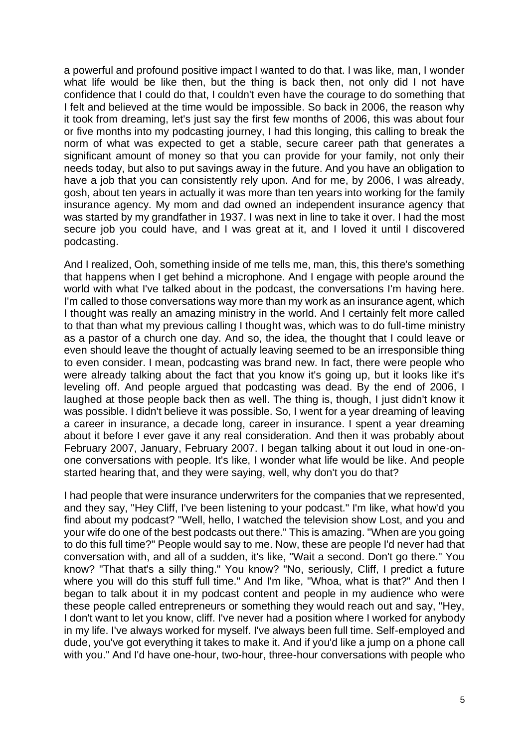a powerful and profound positive impact I wanted to do that. I was like, man, I wonder what life would be like then, but the thing is back then, not only did I not have confidence that I could do that, I couldn't even have the courage to do something that I felt and believed at the time would be impossible. So back in 2006, the reason why it took from dreaming, let's just say the first few months of 2006, this was about four or five months into my podcasting journey, I had this longing, this calling to break the norm of what was expected to get a stable, secure career path that generates a significant amount of money so that you can provide for your family, not only their needs today, but also to put savings away in the future. And you have an obligation to have a job that you can consistently rely upon. And for me, by 2006, I was already, gosh, about ten years in actually it was more than ten years into working for the family insurance agency. My mom and dad owned an independent insurance agency that was started by my grandfather in 1937. I was next in line to take it over. I had the most secure job you could have, and I was great at it, and I loved it until I discovered podcasting.

And I realized, Ooh, something inside of me tells me, man, this, this there's something that happens when I get behind a microphone. And I engage with people around the world with what I've talked about in the podcast, the conversations I'm having here. I'm called to those conversations way more than my work as an insurance agent, which I thought was really an amazing ministry in the world. And I certainly felt more called to that than what my previous calling I thought was, which was to do full-time ministry as a pastor of a church one day. And so, the idea, the thought that I could leave or even should leave the thought of actually leaving seemed to be an irresponsible thing to even consider. I mean, podcasting was brand new. In fact, there were people who were already talking about the fact that you know it's going up, but it looks like it's leveling off. And people argued that podcasting was dead. By the end of 2006, I laughed at those people back then as well. The thing is, though, I just didn't know it was possible. I didn't believe it was possible. So, I went for a year dreaming of leaving a career in insurance, a decade long, career in insurance. I spent a year dreaming about it before I ever gave it any real consideration. And then it was probably about February 2007, January, February 2007. I began talking about it out loud in one-onone conversations with people. It's like, I wonder what life would be like. And people started hearing that, and they were saying, well, why don't you do that?

I had people that were insurance underwriters for the companies that we represented, and they say, "Hey Cliff, I've been listening to your podcast." I'm like, what how'd you find about my podcast? "Well, hello, I watched the television show Lost, and you and your wife do one of the best podcasts out there." This is amazing. "When are you going to do this full time?" People would say to me. Now, these are people I'd never had that conversation with, and all of a sudden, it's like, "Wait a second. Don't go there." You know? "That that's a silly thing." You know? "No, seriously, Cliff, I predict a future where you will do this stuff full time." And I'm like, "Whoa, what is that?" And then I began to talk about it in my podcast content and people in my audience who were these people called entrepreneurs or something they would reach out and say, "Hey, I don't want to let you know, cliff. I've never had a position where I worked for anybody in my life. I've always worked for myself. I've always been full time. Self-employed and dude, you've got everything it takes to make it. And if you'd like a jump on a phone call with you." And I'd have one-hour, two-hour, three-hour conversations with people who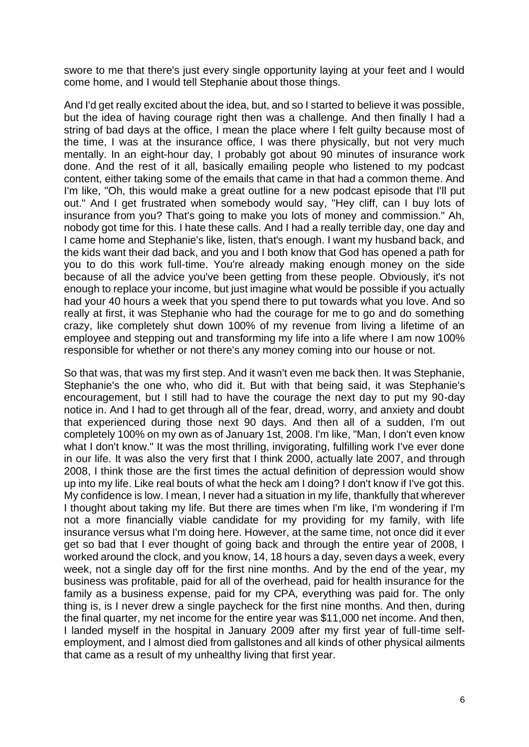swore to me that there's just every single opportunity laying at your feet and I would come home, and I would tell Stephanie about those things.

And I'd get really excited about the idea, but, and so I started to believe it was possible, but the idea of having courage right then was a challenge. And then finally I had a string of bad days at the office, I mean the place where I felt guilty because most of the time, I was at the insurance office, I was there physically, but not very much mentally. In an eight-hour day, I probably got about 90 minutes of insurance work done. And the rest of it all, basically emailing people who listened to my podcast content, either taking some of the emails that came in that had a common theme. And I'm like, "Oh, this would make a great outline for a new podcast episode that I'll put out." And I get frustrated when somebody would say, "Hey cliff, can I buy lots of insurance from you? That's going to make you lots of money and commission." Ah, nobody got time for this. I hate these calls. And I had a really terrible day, one day and I came home and Stephanie's like, listen, that's enough. I want my husband back, and the kids want their dad back, and you and I both know that God has opened a path for you to do this work full-time. You're already making enough money on the side because of all the advice you've been getting from these people. Obviously, it's not enough to replace your income, but just imagine what would be possible if you actually had your 40 hours a week that you spend there to put towards what you love. And so really at first, it was Stephanie who had the courage for me to go and do something crazy, like completely shut down 100% of my revenue from living a lifetime of an employee and stepping out and transforming my life into a life where I am now 100% responsible for whether or not there's any money coming into our house or not.

So that was, that was my first step. And it wasn't even me back then. It was Stephanie, Stephanie's the one who, who did it. But with that being said, it was Stephanie's encouragement, but I still had to have the courage the next day to put my 90-day notice in. And I had to get through all of the fear, dread, worry, and anxiety and doubt that experienced during those next 90 days. And then all of a sudden, I'm out completely 100% on my own as of January 1st, 2008. I'm like, "Man, I don't even know what I don't know." It was the most thrilling, invigorating, fulfilling work I've ever done in our life. It was also the very first that I think 2000, actually late 2007, and through 2008, I think those are the first times the actual definition of depression would show up into my life. Like real bouts of what the heck am I doing? I don't know if I've got this. My confidence is low. I mean, I never had a situation in my life, thankfully that wherever I thought about taking my life. But there are times when I'm like, I'm wondering if I'm not a more financially viable candidate for my providing for my family, with life insurance versus what I'm doing here. However, at the same time, not once did it ever get so bad that I ever thought of going back and through the entire year of 2008, I worked around the clock, and you know, 14, 18 hours a day, seven days a week, every week, not a single day off for the first nine months. And by the end of the year, my business was profitable, paid for all of the overhead, paid for health insurance for the family as a business expense, paid for my CPA, everything was paid for. The only thing is, is I never drew a single paycheck for the first nine months. And then, during the final quarter, my net income for the entire year was \$11,000 net income. And then, I landed myself in the hospital in January 2009 after my first year of full-time selfemployment, and I almost died from gallstones and all kinds of other physical ailments that came as a result of my unhealthy living that first year.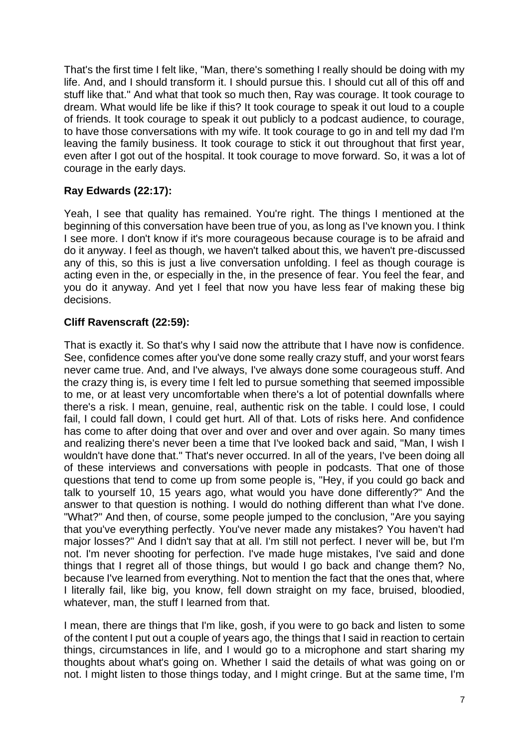That's the first time I felt like, "Man, there's something I really should be doing with my life. And, and I should transform it. I should pursue this. I should cut all of this off and stuff like that." And what that took so much then, Ray was courage. It took courage to dream. What would life be like if this? It took courage to speak it out loud to a couple of friends. It took courage to speak it out publicly to a podcast audience, to courage, to have those conversations with my wife. It took courage to go in and tell my dad I'm leaving the family business. It took courage to stick it out throughout that first year, even after I got out of the hospital. It took courage to move forward. So, it was a lot of courage in the early days.

# **Ray Edwards (22:17):**

Yeah, I see that quality has remained. You're right. The things I mentioned at the beginning of this conversation have been true of you, as long as I've known you. I think I see more. I don't know if it's more courageous because courage is to be afraid and do it anyway. I feel as though, we haven't talked about this, we haven't pre-discussed any of this, so this is just a live conversation unfolding. I feel as though courage is acting even in the, or especially in the, in the presence of fear. You feel the fear, and you do it anyway. And yet I feel that now you have less fear of making these big decisions.

#### **Cliff Ravenscraft (22:59):**

That is exactly it. So that's why I said now the attribute that I have now is confidence. See, confidence comes after you've done some really crazy stuff, and your worst fears never came true. And, and I've always, I've always done some courageous stuff. And the crazy thing is, is every time I felt led to pursue something that seemed impossible to me, or at least very uncomfortable when there's a lot of potential downfalls where there's a risk. I mean, genuine, real, authentic risk on the table. I could lose, I could fail, I could fall down, I could get hurt. All of that. Lots of risks here. And confidence has come to after doing that over and over and over and over again. So many times and realizing there's never been a time that I've looked back and said, "Man, I wish I wouldn't have done that." That's never occurred. In all of the years, I've been doing all of these interviews and conversations with people in podcasts. That one of those questions that tend to come up from some people is, "Hey, if you could go back and talk to yourself 10, 15 years ago, what would you have done differently?" And the answer to that question is nothing. I would do nothing different than what I've done. "What?" And then, of course, some people jumped to the conclusion, "Are you saying that you've everything perfectly. You've never made any mistakes? You haven't had major losses?" And I didn't say that at all. I'm still not perfect. I never will be, but I'm not. I'm never shooting for perfection. I've made huge mistakes, I've said and done things that I regret all of those things, but would I go back and change them? No, because I've learned from everything. Not to mention the fact that the ones that, where I literally fail, like big, you know, fell down straight on my face, bruised, bloodied, whatever, man, the stuff I learned from that.

I mean, there are things that I'm like, gosh, if you were to go back and listen to some of the content I put out a couple of years ago, the things that I said in reaction to certain things, circumstances in life, and I would go to a microphone and start sharing my thoughts about what's going on. Whether I said the details of what was going on or not. I might listen to those things today, and I might cringe. But at the same time, I'm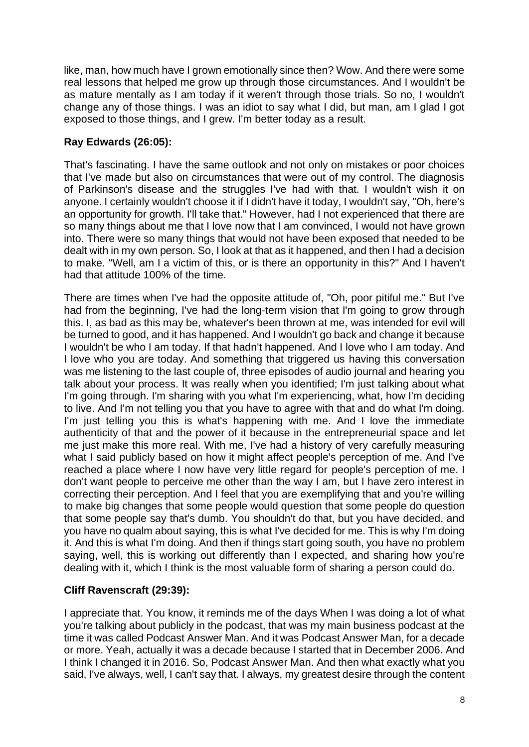like, man, how much have I grown emotionally since then? Wow. And there were some real lessons that helped me grow up through those circumstances. And I wouldn't be as mature mentally as I am today if it weren't through those trials. So no, I wouldn't change any of those things. I was an idiot to say what I did, but man, am I glad I got exposed to those things, and I grew. I'm better today as a result.

# **Ray Edwards (26:05):**

That's fascinating. I have the same outlook and not only on mistakes or poor choices that I've made but also on circumstances that were out of my control. The diagnosis of Parkinson's disease and the struggles I've had with that. I wouldn't wish it on anyone. I certainly wouldn't choose it if I didn't have it today, I wouldn't say, "Oh, here's an opportunity for growth. I'll take that." However, had I not experienced that there are so many things about me that I love now that I am convinced, I would not have grown into. There were so many things that would not have been exposed that needed to be dealt with in my own person. So, I look at that as it happened, and then I had a decision to make. "Well, am I a victim of this, or is there an opportunity in this?" And I haven't had that attitude 100% of the time.

There are times when I've had the opposite attitude of, "Oh, poor pitiful me." But I've had from the beginning, I've had the long-term vision that I'm going to grow through this. I, as bad as this may be, whatever's been thrown at me, was intended for evil will be turned to good, and it has happened. And I wouldn't go back and change it because I wouldn't be who I am today. If that hadn't happened. And I love who I am today. And I love who you are today. And something that triggered us having this conversation was me listening to the last couple of, three episodes of audio journal and hearing you talk about your process. It was really when you identified; I'm just talking about what I'm going through. I'm sharing with you what I'm experiencing, what, how I'm deciding to live. And I'm not telling you that you have to agree with that and do what I'm doing. I'm just telling you this is what's happening with me. And I love the immediate authenticity of that and the power of it because in the entrepreneurial space and let me just make this more real. With me, I've had a history of very carefully measuring what I said publicly based on how it might affect people's perception of me. And I've reached a place where I now have very little regard for people's perception of me. I don't want people to perceive me other than the way I am, but I have zero interest in correcting their perception. And I feel that you are exemplifying that and you're willing to make big changes that some people would question that some people do question that some people say that's dumb. You shouldn't do that, but you have decided, and you have no qualm about saying, this is what I've decided for me. This is why I'm doing it. And this is what I'm doing. And then if things start going south, you have no problem saying, well, this is working out differently than I expected, and sharing how you're dealing with it, which I think is the most valuable form of sharing a person could do.

### **Cliff Ravenscraft (29:39):**

I appreciate that. You know, it reminds me of the days When I was doing a lot of what you're talking about publicly in the podcast, that was my main business podcast at the time it was called Podcast Answer Man. And it was Podcast Answer Man, for a decade or more. Yeah, actually it was a decade because I started that in December 2006. And I think I changed it in 2016. So, Podcast Answer Man. And then what exactly what you said, I've always, well, I can't say that. I always, my greatest desire through the content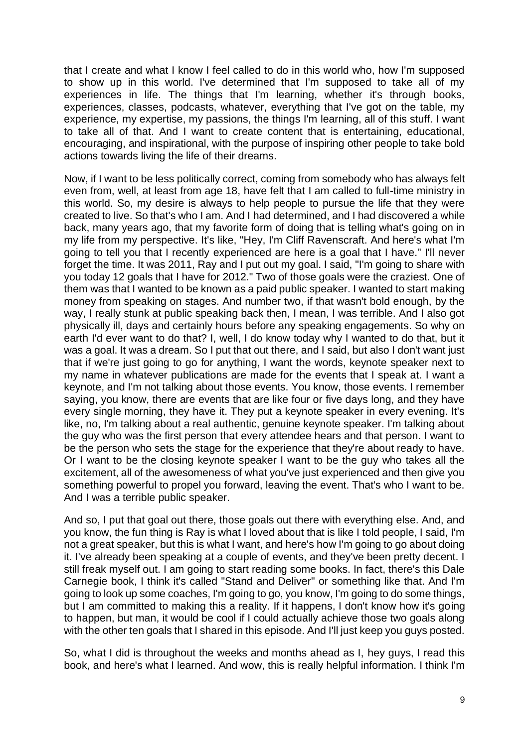that I create and what I know I feel called to do in this world who, how I'm supposed to show up in this world. I've determined that I'm supposed to take all of my experiences in life. The things that I'm learning, whether it's through books, experiences, classes, podcasts, whatever, everything that I've got on the table, my experience, my expertise, my passions, the things I'm learning, all of this stuff. I want to take all of that. And I want to create content that is entertaining, educational, encouraging, and inspirational, with the purpose of inspiring other people to take bold actions towards living the life of their dreams.

Now, if I want to be less politically correct, coming from somebody who has always felt even from, well, at least from age 18, have felt that I am called to full-time ministry in this world. So, my desire is always to help people to pursue the life that they were created to live. So that's who I am. And I had determined, and I had discovered a while back, many years ago, that my favorite form of doing that is telling what's going on in my life from my perspective. It's like, "Hey, I'm Cliff Ravenscraft. And here's what I'm going to tell you that I recently experienced are here is a goal that I have." I'll never forget the time. It was 2011, Ray and I put out my goal. I said, "I'm going to share with you today 12 goals that I have for 2012." Two of those goals were the craziest. One of them was that I wanted to be known as a paid public speaker. I wanted to start making money from speaking on stages. And number two, if that wasn't bold enough, by the way, I really stunk at public speaking back then, I mean, I was terrible. And I also got physically ill, days and certainly hours before any speaking engagements. So why on earth I'd ever want to do that? I, well, I do know today why I wanted to do that, but it was a goal. It was a dream. So I put that out there, and I said, but also I don't want just that if we're just going to go for anything, I want the words, keynote speaker next to my name in whatever publications are made for the events that I speak at. I want a keynote, and I'm not talking about those events. You know, those events. I remember saying, you know, there are events that are like four or five days long, and they have every single morning, they have it. They put a keynote speaker in every evening. It's like, no, I'm talking about a real authentic, genuine keynote speaker. I'm talking about the guy who was the first person that every attendee hears and that person. I want to be the person who sets the stage for the experience that they're about ready to have. Or I want to be the closing keynote speaker I want to be the guy who takes all the excitement, all of the awesomeness of what you've just experienced and then give you something powerful to propel you forward, leaving the event. That's who I want to be. And I was a terrible public speaker.

And so, I put that goal out there, those goals out there with everything else. And, and you know, the fun thing is Ray is what I loved about that is like I told people, I said, I'm not a great speaker, but this is what I want, and here's how I'm going to go about doing it. I've already been speaking at a couple of events, and they've been pretty decent. I still freak myself out. I am going to start reading some books. In fact, there's this Dale Carnegie book, I think it's called "Stand and Deliver" or something like that. And I'm going to look up some coaches, I'm going to go, you know, I'm going to do some things, but I am committed to making this a reality. If it happens, I don't know how it's going to happen, but man, it would be cool if I could actually achieve those two goals along with the other ten goals that I shared in this episode. And I'll just keep you guys posted.

So, what I did is throughout the weeks and months ahead as I, hey guys, I read this book, and here's what I learned. And wow, this is really helpful information. I think I'm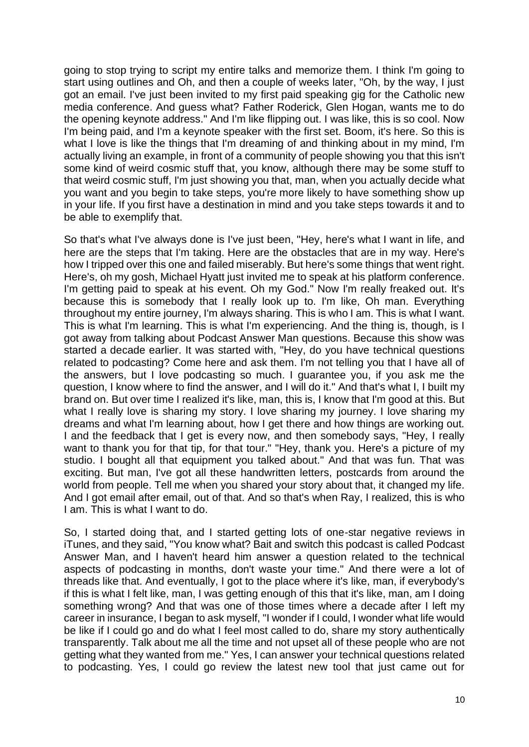going to stop trying to script my entire talks and memorize them. I think I'm going to start using outlines and Oh, and then a couple of weeks later, "Oh, by the way, I just got an email. I've just been invited to my first paid speaking gig for the Catholic new media conference. And guess what? Father Roderick, Glen Hogan, wants me to do the opening keynote address." And I'm like flipping out. I was like, this is so cool. Now I'm being paid, and I'm a keynote speaker with the first set. Boom, it's here. So this is what I love is like the things that I'm dreaming of and thinking about in my mind. I'm actually living an example, in front of a community of people showing you that this isn't some kind of weird cosmic stuff that, you know, although there may be some stuff to that weird cosmic stuff, I'm just showing you that, man, when you actually decide what you want and you begin to take steps, you're more likely to have something show up in your life. If you first have a destination in mind and you take steps towards it and to be able to exemplify that.

So that's what I've always done is I've just been, "Hey, here's what I want in life, and here are the steps that I'm taking. Here are the obstacles that are in my way. Here's how I tripped over this one and failed miserably. But here's some things that went right. Here's, oh my gosh, Michael Hyatt just invited me to speak at his platform conference. I'm getting paid to speak at his event. Oh my God." Now I'm really freaked out. It's because this is somebody that I really look up to. I'm like, Oh man. Everything throughout my entire journey, I'm always sharing. This is who I am. This is what I want. This is what I'm learning. This is what I'm experiencing. And the thing is, though, is I got away from talking about Podcast Answer Man questions. Because this show was started a decade earlier. It was started with, "Hey, do you have technical questions related to podcasting? Come here and ask them. I'm not telling you that I have all of the answers, but I love podcasting so much. I guarantee you, if you ask me the question, I know where to find the answer, and I will do it." And that's what I, I built my brand on. But over time I realized it's like, man, this is, I know that I'm good at this. But what I really love is sharing my story. I love sharing my journey. I love sharing my dreams and what I'm learning about, how I get there and how things are working out. I and the feedback that I get is every now, and then somebody says, "Hey, I really want to thank you for that tip, for that tour." "Hey, thank you. Here's a picture of my studio. I bought all that equipment you talked about." And that was fun. That was exciting. But man, I've got all these handwritten letters, postcards from around the world from people. Tell me when you shared your story about that, it changed my life. And I got email after email, out of that. And so that's when Ray, I realized, this is who I am. This is what I want to do.

So, I started doing that, and I started getting lots of one-star negative reviews in iTunes, and they said, "You know what? Bait and switch this podcast is called Podcast Answer Man, and I haven't heard him answer a question related to the technical aspects of podcasting in months, don't waste your time." And there were a lot of threads like that. And eventually, I got to the place where it's like, man, if everybody's if this is what I felt like, man, I was getting enough of this that it's like, man, am I doing something wrong? And that was one of those times where a decade after I left my career in insurance, I began to ask myself, "I wonder if I could, I wonder what life would be like if I could go and do what I feel most called to do, share my story authentically transparently. Talk about me all the time and not upset all of these people who are not getting what they wanted from me." Yes, I can answer your technical questions related to podcasting. Yes, I could go review the latest new tool that just came out for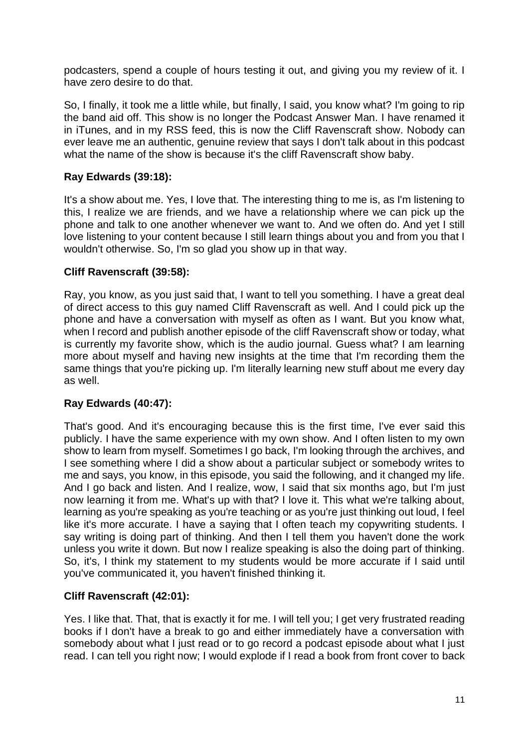podcasters, spend a couple of hours testing it out, and giving you my review of it. I have zero desire to do that.

So, I finally, it took me a little while, but finally, I said, you know what? I'm going to rip the band aid off. This show is no longer the Podcast Answer Man. I have renamed it in iTunes, and in my RSS feed, this is now the Cliff Ravenscraft show. Nobody can ever leave me an authentic, genuine review that says I don't talk about in this podcast what the name of the show is because it's the cliff Ravenscraft show baby.

# **Ray Edwards (39:18):**

It's a show about me. Yes, I love that. The interesting thing to me is, as I'm listening to this, I realize we are friends, and we have a relationship where we can pick up the phone and talk to one another whenever we want to. And we often do. And yet I still love listening to your content because I still learn things about you and from you that I wouldn't otherwise. So, I'm so glad you show up in that way.

### **Cliff Ravenscraft (39:58):**

Ray, you know, as you just said that, I want to tell you something. I have a great deal of direct access to this guy named Cliff Ravenscraft as well. And I could pick up the phone and have a conversation with myself as often as I want. But you know what, when I record and publish another episode of the cliff Ravenscraft show or today, what is currently my favorite show, which is the audio journal. Guess what? I am learning more about myself and having new insights at the time that I'm recording them the same things that you're picking up. I'm literally learning new stuff about me every day as well.

### **Ray Edwards (40:47):**

That's good. And it's encouraging because this is the first time, I've ever said this publicly. I have the same experience with my own show. And I often listen to my own show to learn from myself. Sometimes I go back, I'm looking through the archives, and I see something where I did a show about a particular subject or somebody writes to me and says, you know, in this episode, you said the following, and it changed my life. And I go back and listen. And I realize, wow, I said that six months ago, but I'm just now learning it from me. What's up with that? I love it. This what we're talking about, learning as you're speaking as you're teaching or as you're just thinking out loud, I feel like it's more accurate. I have a saying that I often teach my copywriting students. I say writing is doing part of thinking. And then I tell them you haven't done the work unless you write it down. But now I realize speaking is also the doing part of thinking. So, it's, I think my statement to my students would be more accurate if I said until you've communicated it, you haven't finished thinking it.

### **Cliff Ravenscraft (42:01):**

Yes. I like that. That, that is exactly it for me. I will tell you; I get very frustrated reading books if I don't have a break to go and either immediately have a conversation with somebody about what I just read or to go record a podcast episode about what I just read. I can tell you right now; I would explode if I read a book from front cover to back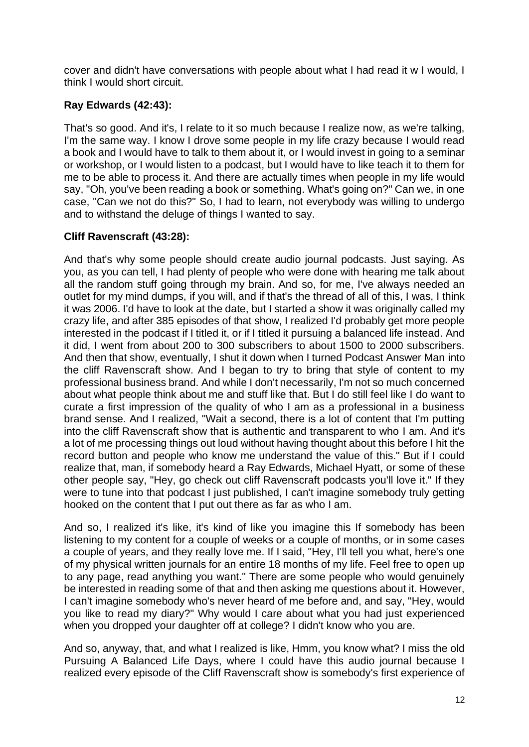cover and didn't have conversations with people about what I had read it w I would, I think I would short circuit.

# **Ray Edwards (42:43):**

That's so good. And it's, I relate to it so much because I realize now, as we're talking, I'm the same way. I know I drove some people in my life crazy because I would read a book and I would have to talk to them about it, or I would invest in going to a seminar or workshop, or I would listen to a podcast, but I would have to like teach it to them for me to be able to process it. And there are actually times when people in my life would say, "Oh, you've been reading a book or something. What's going on?" Can we, in one case, "Can we not do this?" So, I had to learn, not everybody was willing to undergo and to withstand the deluge of things I wanted to say.

# **Cliff Ravenscraft (43:28):**

And that's why some people should create audio journal podcasts. Just saying. As you, as you can tell, I had plenty of people who were done with hearing me talk about all the random stuff going through my brain. And so, for me, I've always needed an outlet for my mind dumps, if you will, and if that's the thread of all of this, I was, I think it was 2006. I'd have to look at the date, but I started a show it was originally called my crazy life, and after 385 episodes of that show, I realized I'd probably get more people interested in the podcast if I titled it, or if I titled it pursuing a balanced life instead. And it did, I went from about 200 to 300 subscribers to about 1500 to 2000 subscribers. And then that show, eventually, I shut it down when I turned Podcast Answer Man into the cliff Ravenscraft show. And I began to try to bring that style of content to my professional business brand. And while I don't necessarily, I'm not so much concerned about what people think about me and stuff like that. But I do still feel like I do want to curate a first impression of the quality of who I am as a professional in a business brand sense. And I realized, "Wait a second, there is a lot of content that I'm putting into the cliff Ravenscraft show that is authentic and transparent to who I am. And it's a lot of me processing things out loud without having thought about this before I hit the record button and people who know me understand the value of this." But if I could realize that, man, if somebody heard a Ray Edwards, Michael Hyatt, or some of these other people say, "Hey, go check out cliff Ravenscraft podcasts you'll love it." If they were to tune into that podcast I just published, I can't imagine somebody truly getting hooked on the content that I put out there as far as who I am.

And so, I realized it's like, it's kind of like you imagine this If somebody has been listening to my content for a couple of weeks or a couple of months, or in some cases a couple of years, and they really love me. If I said, "Hey, I'll tell you what, here's one of my physical written journals for an entire 18 months of my life. Feel free to open up to any page, read anything you want." There are some people who would genuinely be interested in reading some of that and then asking me questions about it. However, I can't imagine somebody who's never heard of me before and, and say, "Hey, would you like to read my diary?" Why would I care about what you had just experienced when you dropped your daughter off at college? I didn't know who you are.

And so, anyway, that, and what I realized is like, Hmm, you know what? I miss the old Pursuing A Balanced Life Days, where I could have this audio journal because I realized every episode of the Cliff Ravenscraft show is somebody's first experience of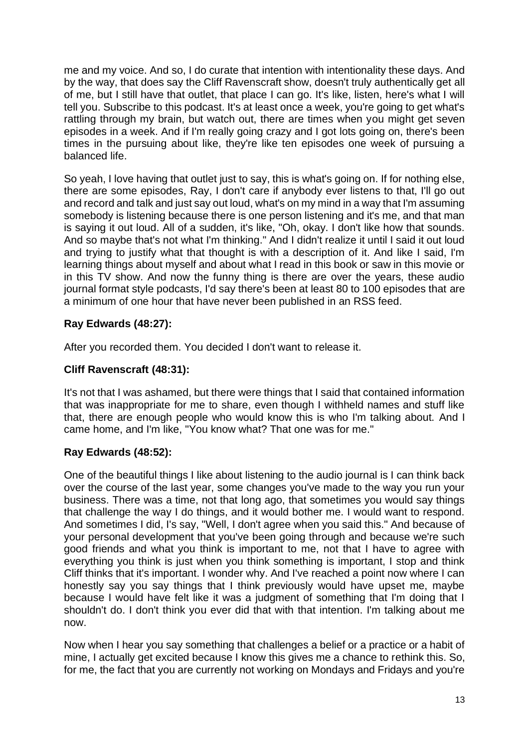me and my voice. And so, I do curate that intention with intentionality these days. And by the way, that does say the Cliff Ravenscraft show, doesn't truly authentically get all of me, but I still have that outlet, that place I can go. It's like, listen, here's what I will tell you. Subscribe to this podcast. It's at least once a week, you're going to get what's rattling through my brain, but watch out, there are times when you might get seven episodes in a week. And if I'm really going crazy and I got lots going on, there's been times in the pursuing about like, they're like ten episodes one week of pursuing a balanced life.

So yeah, I love having that outlet just to say, this is what's going on. If for nothing else, there are some episodes, Ray, I don't care if anybody ever listens to that, I'll go out and record and talk and just say out loud, what's on my mind in a way that I'm assuming somebody is listening because there is one person listening and it's me, and that man is saying it out loud. All of a sudden, it's like, "Oh, okay. I don't like how that sounds. And so maybe that's not what I'm thinking." And I didn't realize it until I said it out loud and trying to justify what that thought is with a description of it. And like I said, I'm learning things about myself and about what I read in this book or saw in this movie or in this TV show. And now the funny thing is there are over the years, these audio journal format style podcasts, I'd say there's been at least 80 to 100 episodes that are a minimum of one hour that have never been published in an RSS feed.

### **Ray Edwards (48:27):**

After you recorded them. You decided I don't want to release it.

#### **Cliff Ravenscraft (48:31):**

It's not that I was ashamed, but there were things that I said that contained information that was inappropriate for me to share, even though I withheld names and stuff like that, there are enough people who would know this is who I'm talking about. And I came home, and I'm like, "You know what? That one was for me."

### **Ray Edwards (48:52):**

One of the beautiful things I like about listening to the audio journal is I can think back over the course of the last year, some changes you've made to the way you run your business. There was a time, not that long ago, that sometimes you would say things that challenge the way I do things, and it would bother me. I would want to respond. And sometimes I did, I's say, "Well, I don't agree when you said this." And because of your personal development that you've been going through and because we're such good friends and what you think is important to me, not that I have to agree with everything you think is just when you think something is important, I stop and think Cliff thinks that it's important. I wonder why. And I've reached a point now where I can honestly say you say things that I think previously would have upset me, maybe because I would have felt like it was a judgment of something that I'm doing that I shouldn't do. I don't think you ever did that with that intention. I'm talking about me now.

Now when I hear you say something that challenges a belief or a practice or a habit of mine, I actually get excited because I know this gives me a chance to rethink this. So, for me, the fact that you are currently not working on Mondays and Fridays and you're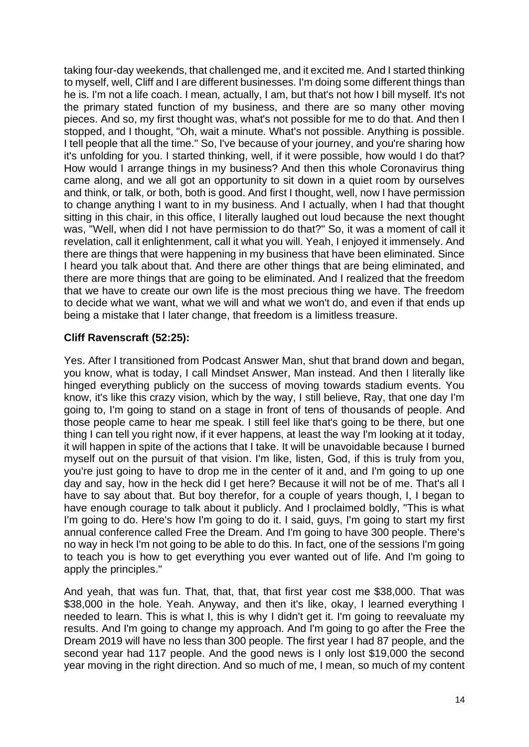taking four-day weekends, that challenged me, and it excited me. And I started thinking to myself, well, Cliff and I are different businesses. I'm doing some different things than he is. I'm not a life coach. I mean, actually, I am, but that's not how I bill myself. It's not the primary stated function of my business, and there are so many other moving pieces. And so, my first thought was, what's not possible for me to do that. And then I stopped, and I thought, "Oh, wait a minute. What's not possible. Anything is possible. I tell people that all the time." So, I've because of your journey, and you're sharing how it's unfolding for you. I started thinking, well, if it were possible, how would I do that? How would I arrange things in my business? And then this whole Coronavirus thing came along, and we all got an opportunity to sit down in a quiet room by ourselves and think, or talk, or both, both is good. And first I thought, well, now I have permission to change anything I want to in my business. And I actually, when I had that thought sitting in this chair, in this office, I literally laughed out loud because the next thought was, "Well, when did I not have permission to do that?" So, it was a moment of call it revelation, call it enlightenment, call it what you will. Yeah, I enjoyed it immensely. And there are things that were happening in my business that have been eliminated. Since I heard you talk about that. And there are other things that are being eliminated, and there are more things that are going to be eliminated. And I realized that the freedom that we have to create our own life is the most precious thing we have. The freedom to decide what we want, what we will and what we won't do, and even if that ends up being a mistake that I later change, that freedom is a limitless treasure.

### **Cliff Ravenscraft (52:25):**

Yes. After I transitioned from Podcast Answer Man, shut that brand down and began, you know, what is today, I call Mindset Answer, Man instead. And then I literally like hinged everything publicly on the success of moving towards stadium events. You know, it's like this crazy vision, which by the way, I still believe, Ray, that one day I'm going to, I'm going to stand on a stage in front of tens of thousands of people. And those people came to hear me speak. I still feel like that's going to be there, but one thing I can tell you right now, if it ever happens, at least the way I'm looking at it today, it will happen in spite of the actions that I take. It will be unavoidable because I burned myself out on the pursuit of that vision. I'm like, listen, God, if this is truly from you, you're just going to have to drop me in the center of it and, and I'm going to up one day and say, how in the heck did I get here? Because it will not be of me. That's all I have to say about that. But boy therefor, for a couple of years though, I, I began to have enough courage to talk about it publicly. And I proclaimed boldly, "This is what I'm going to do. Here's how I'm going to do it. I said, guys, I'm going to start my first annual conference called Free the Dream. And I'm going to have 300 people. There's no way in heck I'm not going to be able to do this. In fact, one of the sessions I'm going to teach you is how to get everything you ever wanted out of life. And I'm going to apply the principles."

And yeah, that was fun. That, that, that, that first year cost me \$38,000. That was \$38,000 in the hole. Yeah. Anyway, and then it's like, okay, I learned everything I needed to learn. This is what I, this is why I didn't get it. I'm going to reevaluate my results. And I'm going to change my approach. And I'm going to go after the Free the Dream 2019 will have no less than 300 people. The first year I had 87 people, and the second year had 117 people. And the good news is I only lost \$19,000 the second year moving in the right direction. And so much of me, I mean, so much of my content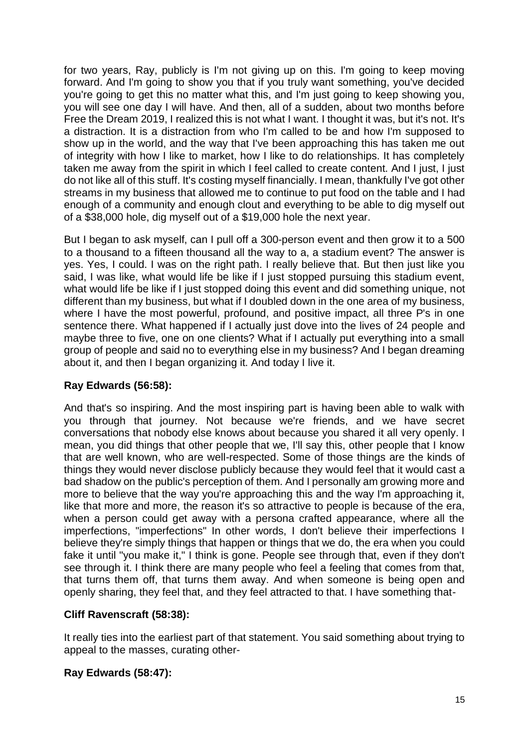for two years, Ray, publicly is I'm not giving up on this. I'm going to keep moving forward. And I'm going to show you that if you truly want something, you've decided you're going to get this no matter what this, and I'm just going to keep showing you, you will see one day I will have. And then, all of a sudden, about two months before Free the Dream 2019, I realized this is not what I want. I thought it was, but it's not. It's a distraction. It is a distraction from who I'm called to be and how I'm supposed to show up in the world, and the way that I've been approaching this has taken me out of integrity with how I like to market, how I like to do relationships. It has completely taken me away from the spirit in which I feel called to create content. And I just, I just do not like all of this stuff. It's costing myself financially. I mean, thankfully I've got other streams in my business that allowed me to continue to put food on the table and I had enough of a community and enough clout and everything to be able to dig myself out of a \$38,000 hole, dig myself out of a \$19,000 hole the next year.

But I began to ask myself, can I pull off a 300-person event and then grow it to a 500 to a thousand to a fifteen thousand all the way to a, a stadium event? The answer is yes. Yes, I could. I was on the right path. I really believe that. But then just like you said, I was like, what would life be like if I just stopped pursuing this stadium event, what would life be like if I just stopped doing this event and did something unique, not different than my business, but what if I doubled down in the one area of my business, where I have the most powerful, profound, and positive impact, all three P's in one sentence there. What happened if I actually just dove into the lives of 24 people and maybe three to five, one on one clients? What if I actually put everything into a small group of people and said no to everything else in my business? And I began dreaming about it, and then I began organizing it. And today I live it.

### **Ray Edwards (56:58):**

And that's so inspiring. And the most inspiring part is having been able to walk with you through that journey. Not because we're friends, and we have secret conversations that nobody else knows about because you shared it all very openly. I mean, you did things that other people that we, I'll say this, other people that I know that are well known, who are well-respected. Some of those things are the kinds of things they would never disclose publicly because they would feel that it would cast a bad shadow on the public's perception of them. And I personally am growing more and more to believe that the way you're approaching this and the way I'm approaching it, like that more and more, the reason it's so attractive to people is because of the era, when a person could get away with a persona crafted appearance, where all the imperfections, "imperfections" In other words, I don't believe their imperfections I believe they're simply things that happen or things that we do, the era when you could fake it until "you make it," I think is gone. People see through that, even if they don't see through it. I think there are many people who feel a feeling that comes from that, that turns them off, that turns them away. And when someone is being open and openly sharing, they feel that, and they feel attracted to that. I have something that-

### **Cliff Ravenscraft (58:38):**

It really ties into the earliest part of that statement. You said something about trying to appeal to the masses, curating other-

### **Ray Edwards (58:47):**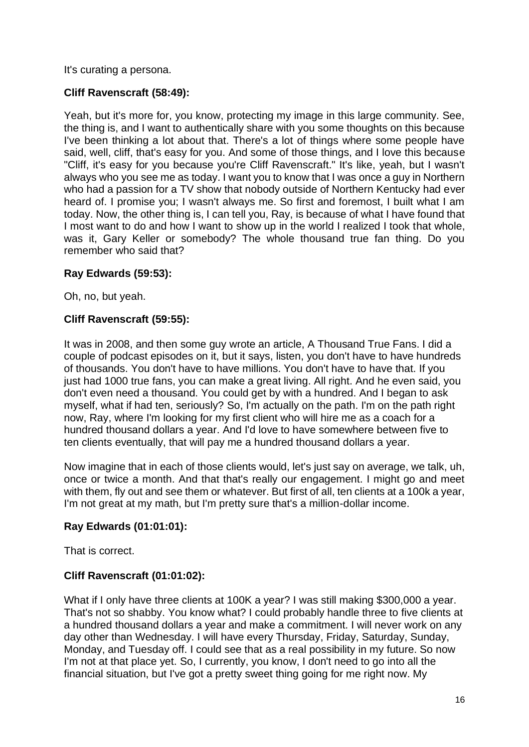It's curating a persona.

#### **Cliff Ravenscraft (58:49):**

Yeah, but it's more for, you know, protecting my image in this large community. See, the thing is, and I want to authentically share with you some thoughts on this because I've been thinking a lot about that. There's a lot of things where some people have said, well, cliff, that's easy for you. And some of those things, and I love this because "Cliff, it's easy for you because you're Cliff Ravenscraft." It's like, yeah, but I wasn't always who you see me as today. I want you to know that I was once a guy in Northern who had a passion for a TV show that nobody outside of Northern Kentucky had ever heard of. I promise you; I wasn't always me. So first and foremost, I built what I am today. Now, the other thing is, I can tell you, Ray, is because of what I have found that I most want to do and how I want to show up in the world I realized I took that whole, was it, Gary Keller or somebody? The whole thousand true fan thing. Do you remember who said that?

#### **Ray Edwards (59:53):**

Oh, no, but yeah.

#### **Cliff Ravenscraft (59:55):**

It was in 2008, and then some guy wrote an article, A Thousand True Fans. I did a couple of podcast episodes on it, but it says, listen, you don't have to have hundreds of thousands. You don't have to have millions. You don't have to have that. If you just had 1000 true fans, you can make a great living. All right. And he even said, you don't even need a thousand. You could get by with a hundred. And I began to ask myself, what if had ten, seriously? So, I'm actually on the path. I'm on the path right now, Ray, where I'm looking for my first client who will hire me as a coach for a hundred thousand dollars a year. And I'd love to have somewhere between five to ten clients eventually, that will pay me a hundred thousand dollars a year.

Now imagine that in each of those clients would, let's just say on average, we talk, uh, once or twice a month. And that that's really our engagement. I might go and meet with them, fly out and see them or whatever. But first of all, ten clients at a 100k a year, I'm not great at my math, but I'm pretty sure that's a million-dollar income.

#### **Ray Edwards (01:01:01):**

That is correct.

#### **Cliff Ravenscraft (01:01:02):**

What if I only have three clients at 100K a year? I was still making \$300,000 a year. That's not so shabby. You know what? I could probably handle three to five clients at a hundred thousand dollars a year and make a commitment. I will never work on any day other than Wednesday. I will have every Thursday, Friday, Saturday, Sunday, Monday, and Tuesday off. I could see that as a real possibility in my future. So now I'm not at that place yet. So, I currently, you know, I don't need to go into all the financial situation, but I've got a pretty sweet thing going for me right now. My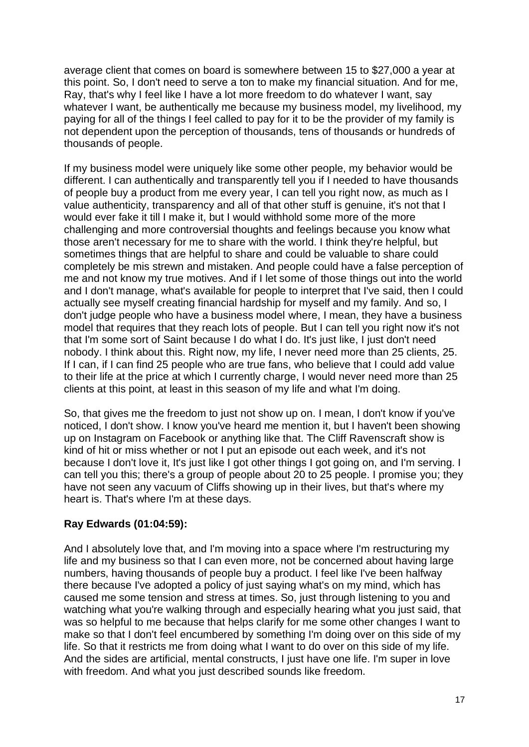average client that comes on board is somewhere between 15 to \$27,000 a year at this point. So, I don't need to serve a ton to make my financial situation. And for me, Ray, that's why I feel like I have a lot more freedom to do whatever I want, say whatever I want, be authentically me because my business model, my livelihood, my paying for all of the things I feel called to pay for it to be the provider of my family is not dependent upon the perception of thousands, tens of thousands or hundreds of thousands of people.

If my business model were uniquely like some other people, my behavior would be different. I can authentically and transparently tell you if I needed to have thousands of people buy a product from me every year, I can tell you right now, as much as I value authenticity, transparency and all of that other stuff is genuine, it's not that I would ever fake it till I make it, but I would withhold some more of the more challenging and more controversial thoughts and feelings because you know what those aren't necessary for me to share with the world. I think they're helpful, but sometimes things that are helpful to share and could be valuable to share could completely be mis strewn and mistaken. And people could have a false perception of me and not know my true motives. And if I let some of those things out into the world and I don't manage, what's available for people to interpret that I've said, then I could actually see myself creating financial hardship for myself and my family. And so, I don't judge people who have a business model where, I mean, they have a business model that requires that they reach lots of people. But I can tell you right now it's not that I'm some sort of Saint because I do what I do. It's just like, I just don't need nobody. I think about this. Right now, my life, I never need more than 25 clients, 25. If I can, if I can find 25 people who are true fans, who believe that I could add value to their life at the price at which I currently charge, I would never need more than 25 clients at this point, at least in this season of my life and what I'm doing.

So, that gives me the freedom to just not show up on. I mean, I don't know if you've noticed, I don't show. I know you've heard me mention it, but I haven't been showing up on Instagram on Facebook or anything like that. The Cliff Ravenscraft show is kind of hit or miss whether or not I put an episode out each week, and it's not because I don't love it. It's just like I got other things I got going on, and I'm serving. I can tell you this; there's a group of people about 20 to 25 people. I promise you; they have not seen any vacuum of Cliffs showing up in their lives, but that's where my heart is. That's where I'm at these days.

### **Ray Edwards (01:04:59):**

And I absolutely love that, and I'm moving into a space where I'm restructuring my life and my business so that I can even more, not be concerned about having large numbers, having thousands of people buy a product. I feel like I've been halfway there because I've adopted a policy of just saying what's on my mind, which has caused me some tension and stress at times. So, just through listening to you and watching what you're walking through and especially hearing what you just said, that was so helpful to me because that helps clarify for me some other changes I want to make so that I don't feel encumbered by something I'm doing over on this side of my life. So that it restricts me from doing what I want to do over on this side of my life. And the sides are artificial, mental constructs, I just have one life. I'm super in love with freedom. And what you just described sounds like freedom.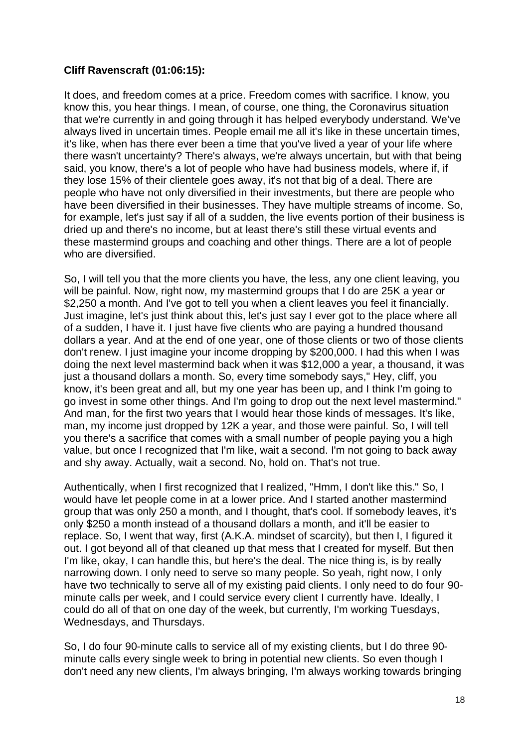#### **Cliff Ravenscraft (01:06:15):**

It does, and freedom comes at a price. Freedom comes with sacrifice. I know, you know this, you hear things. I mean, of course, one thing, the Coronavirus situation that we're currently in and going through it has helped everybody understand. We've always lived in uncertain times. People email me all it's like in these uncertain times, it's like, when has there ever been a time that you've lived a year of your life where there wasn't uncertainty? There's always, we're always uncertain, but with that being said, you know, there's a lot of people who have had business models, where if, if they lose 15% of their clientele goes away, it's not that big of a deal. There are people who have not only diversified in their investments, but there are people who have been diversified in their businesses. They have multiple streams of income. So, for example, let's just say if all of a sudden, the live events portion of their business is dried up and there's no income, but at least there's still these virtual events and these mastermind groups and coaching and other things. There are a lot of people who are diversified.

So, I will tell you that the more clients you have, the less, any one client leaving, you will be painful. Now, right now, my mastermind groups that I do are 25K a year or \$2,250 a month. And I've got to tell you when a client leaves you feel it financially. Just imagine, let's just think about this, let's just say I ever got to the place where all of a sudden, I have it. I just have five clients who are paying a hundred thousand dollars a year. And at the end of one year, one of those clients or two of those clients don't renew. I just imagine your income dropping by \$200,000. I had this when I was doing the next level mastermind back when it was \$12,000 a year, a thousand, it was just a thousand dollars a month. So, every time somebody says," Hey, cliff, you know, it's been great and all, but my one year has been up, and I think I'm going to go invest in some other things. And I'm going to drop out the next level mastermind." And man, for the first two years that I would hear those kinds of messages. It's like, man, my income just dropped by 12K a year, and those were painful. So, I will tell you there's a sacrifice that comes with a small number of people paying you a high value, but once I recognized that I'm like, wait a second. I'm not going to back away and shy away. Actually, wait a second. No, hold on. That's not true.

Authentically, when I first recognized that I realized, "Hmm, I don't like this." So, I would have let people come in at a lower price. And I started another mastermind group that was only 250 a month, and I thought, that's cool. If somebody leaves, it's only \$250 a month instead of a thousand dollars a month, and it'll be easier to replace. So, I went that way, first (A.K.A. mindset of scarcity), but then I, I figured it out. I got beyond all of that cleaned up that mess that I created for myself. But then I'm like, okay, I can handle this, but here's the deal. The nice thing is, is by really narrowing down. I only need to serve so many people. So yeah, right now, I only have two technically to serve all of my existing paid clients. I only need to do four 90 minute calls per week, and I could service every client I currently have. Ideally, I could do all of that on one day of the week, but currently, I'm working Tuesdays, Wednesdays, and Thursdays.

So, I do four 90-minute calls to service all of my existing clients, but I do three 90 minute calls every single week to bring in potential new clients. So even though I don't need any new clients, I'm always bringing, I'm always working towards bringing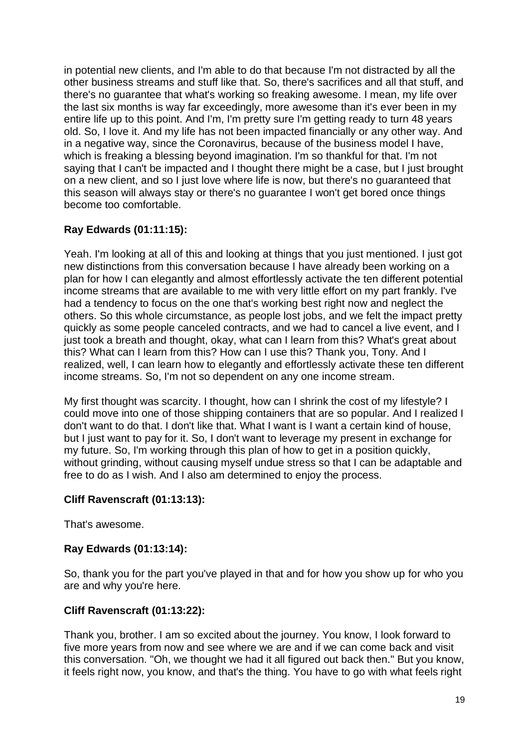in potential new clients, and I'm able to do that because I'm not distracted by all the other business streams and stuff like that. So, there's sacrifices and all that stuff, and there's no guarantee that what's working so freaking awesome. I mean, my life over the last six months is way far exceedingly, more awesome than it's ever been in my entire life up to this point. And I'm, I'm pretty sure I'm getting ready to turn 48 years old. So, I love it. And my life has not been impacted financially or any other way. And in a negative way, since the Coronavirus, because of the business model I have, which is freaking a blessing beyond imagination. I'm so thankful for that. I'm not saying that I can't be impacted and I thought there might be a case, but I just brought on a new client, and so I just love where life is now, but there's no guaranteed that this season will always stay or there's no guarantee I won't get bored once things become too comfortable.

### **Ray Edwards (01:11:15):**

Yeah. I'm looking at all of this and looking at things that you just mentioned. I just got new distinctions from this conversation because I have already been working on a plan for how I can elegantly and almost effortlessly activate the ten different potential income streams that are available to me with very little effort on my part frankly. I've had a tendency to focus on the one that's working best right now and neglect the others. So this whole circumstance, as people lost jobs, and we felt the impact pretty quickly as some people canceled contracts, and we had to cancel a live event, and I just took a breath and thought, okay, what can I learn from this? What's great about this? What can I learn from this? How can I use this? Thank you, Tony. And I realized, well, I can learn how to elegantly and effortlessly activate these ten different income streams. So, I'm not so dependent on any one income stream.

My first thought was scarcity. I thought, how can I shrink the cost of my lifestyle? I could move into one of those shipping containers that are so popular. And I realized I don't want to do that. I don't like that. What I want is I want a certain kind of house, but I just want to pay for it. So, I don't want to leverage my present in exchange for my future. So, I'm working through this plan of how to get in a position quickly, without grinding, without causing myself undue stress so that I can be adaptable and free to do as I wish. And I also am determined to enjoy the process.

#### **Cliff Ravenscraft (01:13:13):**

That's awesome.

#### **Ray Edwards (01:13:14):**

So, thank you for the part you've played in that and for how you show up for who you are and why you're here.

#### **Cliff Ravenscraft (01:13:22):**

Thank you, brother. I am so excited about the journey. You know, I look forward to five more years from now and see where we are and if we can come back and visit this conversation. "Oh, we thought we had it all figured out back then." But you know, it feels right now, you know, and that's the thing. You have to go with what feels right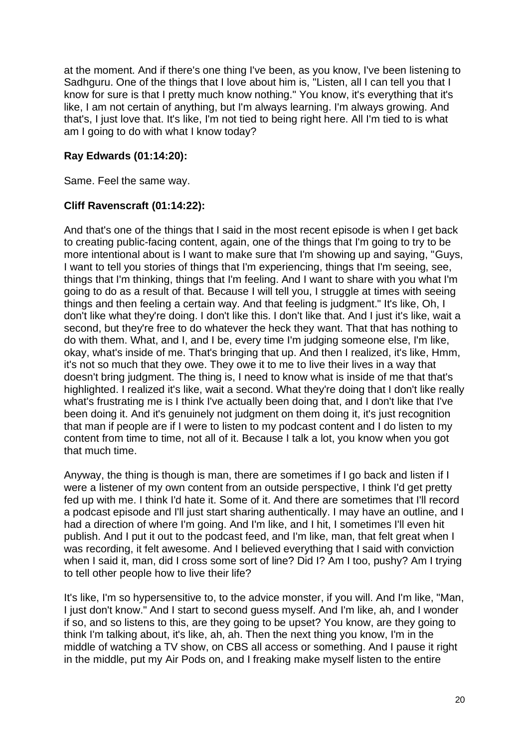at the moment. And if there's one thing I've been, as you know, I've been listening to Sadhguru. One of the things that I love about him is, "Listen, all I can tell you that I know for sure is that I pretty much know nothing." You know, it's everything that it's like, I am not certain of anything, but I'm always learning. I'm always growing. And that's, I just love that. It's like, I'm not tied to being right here. All I'm tied to is what am I going to do with what I know today?

#### **Ray Edwards (01:14:20):**

Same. Feel the same way.

#### **Cliff Ravenscraft (01:14:22):**

And that's one of the things that I said in the most recent episode is when I get back to creating public-facing content, again, one of the things that I'm going to try to be more intentional about is I want to make sure that I'm showing up and saying, "Guys, I want to tell you stories of things that I'm experiencing, things that I'm seeing, see, things that I'm thinking, things that I'm feeling. And I want to share with you what I'm going to do as a result of that. Because I will tell you, I struggle at times with seeing things and then feeling a certain way. And that feeling is judgment." It's like, Oh, I don't like what they're doing. I don't like this. I don't like that. And I just it's like, wait a second, but they're free to do whatever the heck they want. That that has nothing to do with them. What, and I, and I be, every time I'm judging someone else, I'm like, okay, what's inside of me. That's bringing that up. And then I realized, it's like, Hmm, it's not so much that they owe. They owe it to me to live their lives in a way that doesn't bring judgment. The thing is, I need to know what is inside of me that that's highlighted. I realized it's like, wait a second. What they're doing that I don't like really what's frustrating me is I think I've actually been doing that, and I don't like that I've been doing it. And it's genuinely not judgment on them doing it, it's just recognition that man if people are if I were to listen to my podcast content and I do listen to my content from time to time, not all of it. Because I talk a lot, you know when you got that much time.

Anyway, the thing is though is man, there are sometimes if I go back and listen if I were a listener of my own content from an outside perspective, I think I'd get pretty fed up with me. I think I'd hate it. Some of it. And there are sometimes that I'll record a podcast episode and I'll just start sharing authentically. I may have an outline, and I had a direction of where I'm going. And I'm like, and I hit, I sometimes I'll even hit publish. And I put it out to the podcast feed, and I'm like, man, that felt great when I was recording, it felt awesome. And I believed everything that I said with conviction when I said it, man, did I cross some sort of line? Did I? Am I too, pushy? Am I trying to tell other people how to live their life?

It's like, I'm so hypersensitive to, to the advice monster, if you will. And I'm like, "Man, I just don't know." And I start to second guess myself. And I'm like, ah, and I wonder if so, and so listens to this, are they going to be upset? You know, are they going to think I'm talking about, it's like, ah, ah. Then the next thing you know, I'm in the middle of watching a TV show, on CBS all access or something. And I pause it right in the middle, put my Air Pods on, and I freaking make myself listen to the entire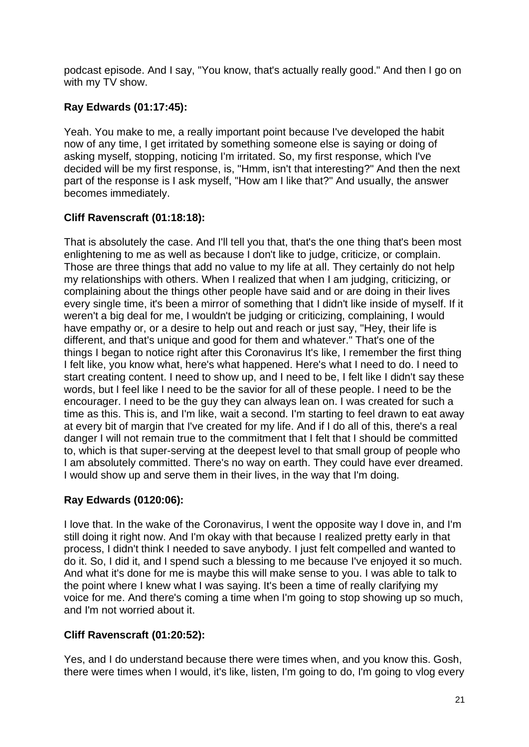podcast episode. And I say, "You know, that's actually really good." And then I go on with my TV show.

## **Ray Edwards (01:17:45):**

Yeah. You make to me, a really important point because I've developed the habit now of any time, I get irritated by something someone else is saying or doing of asking myself, stopping, noticing I'm irritated. So, my first response, which I've decided will be my first response, is, "Hmm, isn't that interesting?" And then the next part of the response is I ask myself, "How am I like that?" And usually, the answer becomes immediately.

# **Cliff Ravenscraft (01:18:18):**

That is absolutely the case. And I'll tell you that, that's the one thing that's been most enlightening to me as well as because I don't like to judge, criticize, or complain. Those are three things that add no value to my life at all. They certainly do not help my relationships with others. When I realized that when I am judging, criticizing, or complaining about the things other people have said and or are doing in their lives every single time, it's been a mirror of something that I didn't like inside of myself. If it weren't a big deal for me, I wouldn't be judging or criticizing, complaining, I would have empathy or, or a desire to help out and reach or just say, "Hey, their life is different, and that's unique and good for them and whatever." That's one of the things I began to notice right after this Coronavirus It's like, I remember the first thing I felt like, you know what, here's what happened. Here's what I need to do. I need to start creating content. I need to show up, and I need to be, I felt like I didn't say these words, but I feel like I need to be the savior for all of these people. I need to be the encourager. I need to be the guy they can always lean on. I was created for such a time as this. This is, and I'm like, wait a second. I'm starting to feel drawn to eat away at every bit of margin that I've created for my life. And if I do all of this, there's a real danger I will not remain true to the commitment that I felt that I should be committed to, which is that super-serving at the deepest level to that small group of people who I am absolutely committed. There's no way on earth. They could have ever dreamed. I would show up and serve them in their lives, in the way that I'm doing.

### **Ray Edwards (0120:06):**

I love that. In the wake of the Coronavirus, I went the opposite way I dove in, and I'm still doing it right now. And I'm okay with that because I realized pretty early in that process, I didn't think I needed to save anybody. I just felt compelled and wanted to do it. So, I did it, and I spend such a blessing to me because I've enjoyed it so much. And what it's done for me is maybe this will make sense to you. I was able to talk to the point where I knew what I was saying. It's been a time of really clarifying my voice for me. And there's coming a time when I'm going to stop showing up so much, and I'm not worried about it.

### **Cliff Ravenscraft (01:20:52):**

Yes, and I do understand because there were times when, and you know this. Gosh, there were times when I would, it's like, listen, I'm going to do, I'm going to vlog every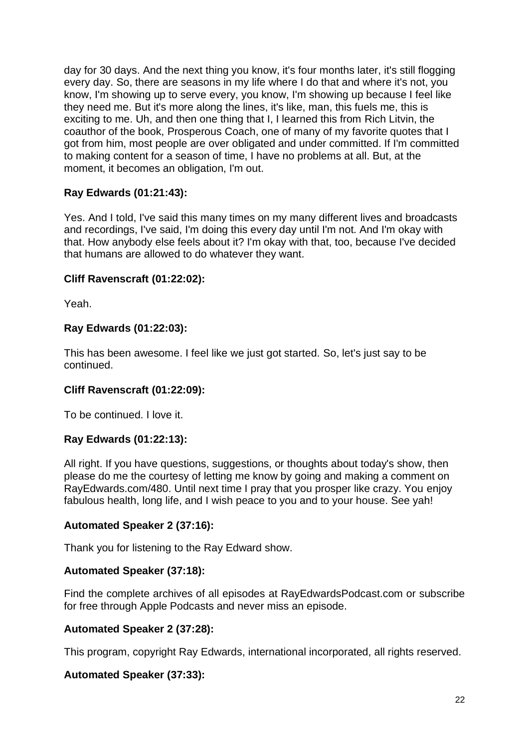day for 30 days. And the next thing you know, it's four months later, it's still flogging every day. So, there are seasons in my life where I do that and where it's not, you know, I'm showing up to serve every, you know, I'm showing up because I feel like they need me. But it's more along the lines, it's like, man, this fuels me, this is exciting to me. Uh, and then one thing that I, I learned this from Rich Litvin, the coauthor of the book, Prosperous Coach, one of many of my favorite quotes that I got from him, most people are over obligated and under committed. If I'm committed to making content for a season of time, I have no problems at all. But, at the moment, it becomes an obligation, I'm out.

### **Ray Edwards (01:21:43):**

Yes. And I told, I've said this many times on my many different lives and broadcasts and recordings, I've said, I'm doing this every day until I'm not. And I'm okay with that. How anybody else feels about it? I'm okay with that, too, because I've decided that humans are allowed to do whatever they want.

#### **Cliff Ravenscraft (01:22:02):**

Yeah.

#### **Ray Edwards (01:22:03):**

This has been awesome. I feel like we just got started. So, let's just say to be continued.

#### **Cliff Ravenscraft (01:22:09):**

To be continued. I love it.

#### **Ray Edwards (01:22:13):**

All right. If you have questions, suggestions, or thoughts about today's show, then please do me the courtesy of letting me know by going and making a comment on RayEdwards.com/480. Until next time I pray that you prosper like crazy. You enjoy fabulous health, long life, and I wish peace to you and to your house. See yah!

#### **Automated Speaker 2 [\(37:1](https://www.temi.com/editor/t/jSPnRbMJcbcWU-20nGp5jcNFTxdJGeHiXv_tRiJGQ6C6oGw0N9j8DyqBuzUhQx92Jy7dCFcpzbQEaT06JHDuSrUqvFI?loadFrom=DocumentDeeplink&ts=1422.16)6):**

Thank you for listening to the Ray Edward show.

#### **Automated Speaker [\(37:1](https://www.temi.com/editor/t/jSPnRbMJcbcWU-20nGp5jcNFTxdJGeHiXv_tRiJGQ6C6oGw0N9j8DyqBuzUhQx92Jy7dCFcpzbQEaT06JHDuSrUqvFI?loadFrom=DocumentDeeplink&ts=1426.07)8):**

Find the complete archives of all episodes at RayEdwardsPodcast.com or subscribe for free through Apple Podcasts and never miss an episode.

#### **Automated Speaker 2 [\(37:28\)](https://www.temi.com/editor/t/jSPnRbMJcbcWU-20nGp5jcNFTxdJGeHiXv_tRiJGQ6C6oGw0N9j8DyqBuzUhQx92Jy7dCFcpzbQEaT06JHDuSrUqvFI?loadFrom=DocumentDeeplink&ts=1434.25):**

This program, copyright Ray Edwards, international incorporated, all rights reserved.

#### **Automated Speaker [\(37:33](https://www.temi.com/editor/t/jSPnRbMJcbcWU-20nGp5jcNFTxdJGeHiXv_tRiJGQ6C6oGw0N9j8DyqBuzUhQx92Jy7dCFcpzbQEaT06JHDuSrUqvFI?loadFrom=DocumentDeeplink&ts=1439.56)):**